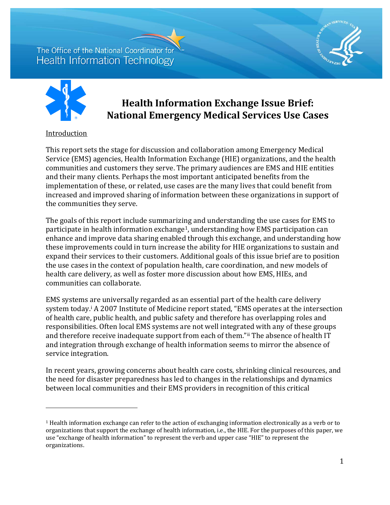

# **Health Information Exchange Issue Brief: National Emergency Medical Services Use Cases**

### Introduction

I

This report sets the stage for discussion and collaboration among Emergency Medical Service (EMS) agencies, Health Information Exchange (HIE) organizations, and the health communities and customers they serve. The primary audiences are EMS and HIE entities and their many clients. Perhaps the most important anticipated benefits from the implementation of these, or related, use cases are the many lives that could benefit from increased and improved sharing of information between these organizations in support of the communities they serve.

The goals of this report include summarizing and understanding the use cases for EMS to participate in health information exchange[1](#page-0-0) , understanding how EMS participation can enhance and improve data sharing enabled through this exchange, and understanding how these improvements could in turn increase the ability for HIE organizations to sustain and expand their services to their customers. Additional goals of this issue brief are to position the use cases in the context of population health, care coordination, and new models of health care delivery, as well as foster more discussion about how EMS, HIEs, and communities can collaborate.

EMS systems are universally regarded as an essential part of the health care delivery system today.[i](#page-7-0) A 2007 Institute of Medicine report stated, "EMS operates at the intersection of health care, public health, and public safety and therefore has overlapping roles and responsibilities. Often local EMS systems are not well integrat[ed](#page-7-1) with any of these groups and therefore receive inadequate support from each of them."ii The absence of health IT and integration through exchange of health information seems to mirror the absence of service integration.

In recent years, growing concerns about health care costs, shrinking clinical resources, and the need for disaster preparedness has led to changes in the relationships and dynamics between local communities and their EMS providers in recognition of this critical

<span id="page-0-0"></span><sup>1</sup> Health information exchange can refer to the action of exchanging information electronically as a verb or to organizations that support the exchange of health information, i.e., the HIE. For the purposes of this paper, we use "exchange of health information" to represent the verb and upper case "HIE" to represent the organizations.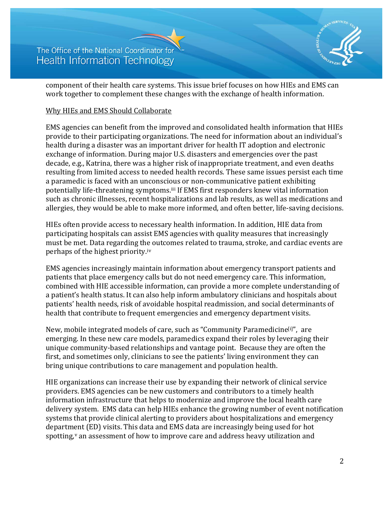

component of their health care systems. This issue brief focuses on how HIEs and EMS can work together to complement these changes with the exchange of health information.

#### Why HIEs and EMS Should Collaborate

EMS agencies can benefit from the improved and consolidated health information that HIEs provide to their participating organizations. The need for information about an individual's health during a disaster was an important driver for health IT adoption and electronic exchange of information. During major U.S. disasters and emergencies over the past decade, e.g., Katrina, there was a higher risk of inappropriate treatment, and even deaths resulting from limited access to needed health records. These same issues persist each time a paramedic is faced with an unconscious or non-communicative patient exhibiting potentially life-threatening symptoms.<sup>iii</sup> If EMS first responders knew vital information such as chronic illnesses, recent hospitalizations and lab results, as well as medications and allergies, they would be able to make more informed, and often better, life-saving decisions.

HIEs often provide access to necessary health information. In addition, HIE data from participating hospitals can assist EMS agencies with quality measures that increasingly must be met. Data regarding the outcomes related to trauma, stroke, and cardiac events are perhaps of the highest priority.[iv](#page-7-3)

EMS agencies increasingly maintain information about emergency transport patients and patients that place emergency calls but do not need emergency care. This information, combined with HIE accessible information, can provide a more complete understanding of a patient's health status. It can also help inform ambulatory clinicians and hospitals about patients' health needs, risk of avoidable hospital readmission, and social determinants of health that contribute to frequent emergencies and emergency departmen[t v](#page-7-4)isits.

New, mobile integrated models of care, such as "Community Paramedicine<sup>[i]"</sup>, are emerging. In these new care models, paramedics expand their roles by leveraging their unique community-based relationships and vantage point. Because they are often the first, and sometimes only, clinicians to see the patients' living environment they can bring unique contributions to care management and population health.

HIE organizations can increase their use by expanding their network of clinical service providers. EMS agencies can be new customers and contributors to a timely health information infrastructure that helps to modernize and improve the local health care delivery system. EMS data can help HIEs enhance the growing number of event notification systems that provide clinical alerting to providers about hospitalizations and emergency department (ED) visits. This data and EMS data are increasingly being used for hot spotting,<sup>[v](#page-7-5)</sup> an assessment of how to improve care and address heavy utilization and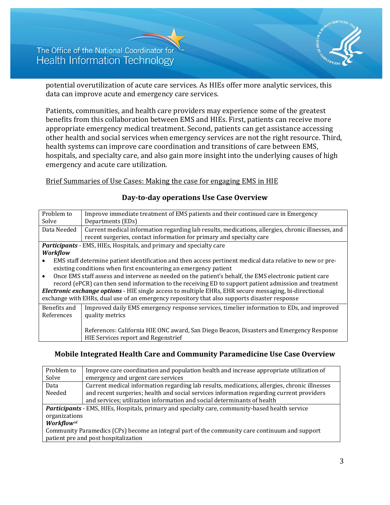

potential overutilization of acute care services. As HIEs offer more analytic services, this data can improve acute and emergency care services.

Patients, communities, and health care providers may experience some of the greatest benefits from this collaboration between EMS and HIEs. First, patients can receive more appropriate emergency medical treatment. Second, patients can get assistance accessing other health and social services when emergency services are not the right resource. Third, health systems can improve care coordination and transitions of care between EMS, hospitals, and specialty care, and also gain more insight into the underlying causes of high emergency and acute care utilization.

#### Brief Summaries of Use Cases: Making the case for engaging EMS in HIE

| Problem to                                                                                                          | Improve immediate treatment of EMS patients and their continued care in Emergency                         |  |
|---------------------------------------------------------------------------------------------------------------------|-----------------------------------------------------------------------------------------------------------|--|
| Solve                                                                                                               | Departments (EDs)                                                                                         |  |
| Data Needed                                                                                                         | Current medical information regarding lab results, medications, allergies, chronic illnesses, and         |  |
|                                                                                                                     | recent surgeries, contact information for primary and specialty care                                      |  |
|                                                                                                                     | <b>Participants</b> - EMS, HIEs, Hospitals, and primary and specialty care                                |  |
| <b>Workflow</b>                                                                                                     |                                                                                                           |  |
| $\bullet$                                                                                                           | EMS staff determine patient identification and then access pertinent medical data relative to new or pre- |  |
| existing conditions when first encountering an emergency patient                                                    |                                                                                                           |  |
| Once EMS staff assess and intervene as needed on the patient's behalf, the EMS electronic patient care<br>$\bullet$ |                                                                                                           |  |
|                                                                                                                     | record (ePCR) can then send information to the receiving ED to support patient admission and treatment    |  |
| <b>Electronic exchange options</b> - HIE single access to multiple EHRs, EHR secure messaging, bi-directional       |                                                                                                           |  |
|                                                                                                                     | exchange with EHRs, dual use of an emergency repository that also supports disaster response              |  |
| Benefits and                                                                                                        | Improved daily EMS emergency response services, timelier information to EDs, and improved                 |  |
| References                                                                                                          | quality metrics                                                                                           |  |
|                                                                                                                     |                                                                                                           |  |
|                                                                                                                     | References: California HIE ONC award, San Diego Beacon, Disasters and Emergency Response                  |  |
|                                                                                                                     | <b>HIE Services report and Regenstrief</b>                                                                |  |

#### **Day-to-day operations Use Case Overview**

## **Mobile Integrated Health Care and Community Paramedicine Use Case Overview**

| Problem to                                                                                      | Improve care coordination and population health and increase appropriate utilization of      |  |
|-------------------------------------------------------------------------------------------------|----------------------------------------------------------------------------------------------|--|
| Solve                                                                                           | emergency and urgent care services                                                           |  |
| Data                                                                                            | Current medical information regarding lab results, medications, allergies, chronic illnesses |  |
| Needed                                                                                          | and recent surgeries; health and social services information regarding current providers     |  |
|                                                                                                 | and services; utilization information and social determinants of health                      |  |
| Participants - EMS, HIEs, Hospitals, primary and specialty care, community-based health service |                                                                                              |  |
| organizations                                                                                   |                                                                                              |  |
| <b>Workflow</b> vi                                                                              |                                                                                              |  |
| Community Paramedics (CPs) become an integral part of the community care continuum and support  |                                                                                              |  |
| patient pre and post hospitalization                                                            |                                                                                              |  |
|                                                                                                 |                                                                                              |  |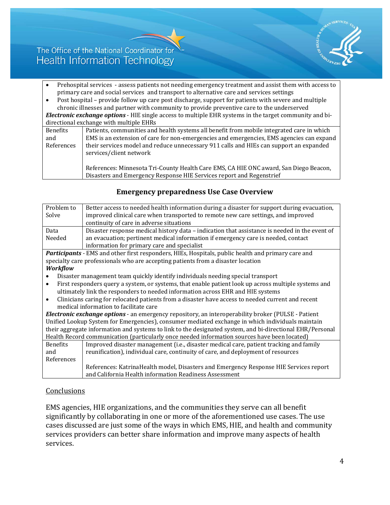

- Prehospital services assess patients not needing emergency treatment and assist them with access to primary care and social services and transport to alternative care and services settings
- Post hospital provide follow up care post discharge, support for patients with severe and multiple chronic illnesses and partner with community to provide preventive care to the underserved

*Electronic exchange options* - HIE single access to multiple EHR systems in the target community and bidirectional exchange with multiple EHRs

| Benefits   | Patients, communities and health systems all benefit from mobile integrated care in which                                                                     |
|------------|---------------------------------------------------------------------------------------------------------------------------------------------------------------|
| and        | EMS is an extension of care for non-emergencies and emergencies, EMS agencies can expand                                                                      |
| References | their services model and reduce unnecessary 911 calls and HIEs can support an expanded<br>services/client network                                             |
|            | References: Minnesota Tri-County Health Care EMS, CA HIE ONC award, San Diego Beacon,<br>Disasters and Emergency Response HIE Services report and Regenstrief |

| Better access to needed health information during a disaster for support during evacuation,                                                                                                                    |  |  |
|----------------------------------------------------------------------------------------------------------------------------------------------------------------------------------------------------------------|--|--|
|                                                                                                                                                                                                                |  |  |
|                                                                                                                                                                                                                |  |  |
|                                                                                                                                                                                                                |  |  |
| Disaster response medical history data - indication that assistance is needed in the event of                                                                                                                  |  |  |
|                                                                                                                                                                                                                |  |  |
|                                                                                                                                                                                                                |  |  |
|                                                                                                                                                                                                                |  |  |
|                                                                                                                                                                                                                |  |  |
|                                                                                                                                                                                                                |  |  |
| Disaster management team quickly identify individuals needing special transport                                                                                                                                |  |  |
| First responders query a system, or systems, that enable patient look up across multiple systems and<br>$\bullet$                                                                                              |  |  |
| ultimately link the responders to needed information across EHR and HIE systems                                                                                                                                |  |  |
|                                                                                                                                                                                                                |  |  |
|                                                                                                                                                                                                                |  |  |
|                                                                                                                                                                                                                |  |  |
| Unified Lookup System for Emergencies), consumer mediated exchange in which individuals maintain                                                                                                               |  |  |
| their aggregate information and systems to link to the designated system, and bi-directional EHR/Personal                                                                                                      |  |  |
| Health Record communication (particularly once needed information sources have been located)                                                                                                                   |  |  |
| Improved disaster management (i.e., disaster medical care, patient tracking and family                                                                                                                         |  |  |
|                                                                                                                                                                                                                |  |  |
|                                                                                                                                                                                                                |  |  |
| References: Katrina Health model, Disasters and Emergency Response HIE Services report                                                                                                                         |  |  |
|                                                                                                                                                                                                                |  |  |
| Clinicians caring for relocated patients from a disaster have access to needed current and recent<br><b>Electronic exchange options</b> - an emergency repository, an interoperability broker (PULSE - Patient |  |  |

## **Emergency preparedness Use Case Overview**

### **Conclusions**

EMS agencies, HIE organizations, and the communities they serve can all benefit significantly by collaborating in one or more of the aforementioned use cases. The use cases discussed are just some of the ways in which EMS, HIE, and health and community services providers can better share information and improve many aspects of health services.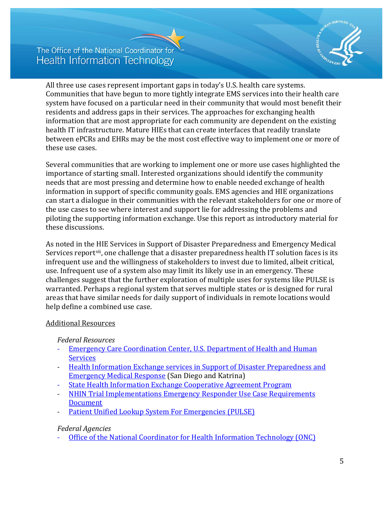

All three use cases represent important gaps in today's U.S. health care systems. Communities that have begun to more tightly integrate EMS services into their health care system have focused on a particular need in their community that would most benefit their residents and address gaps in their services. The approaches for exchanging health information that are most appropriate for each community are dependent on the existing health IT infrastructure. Mature HIEs that can create interfaces that readily translate between ePCRs and EHRs may be the most cost effective way to implement one or more of these use cases.

Several communities that are working to implement one or more use cases highlighted the importance of starting small. Interested organizations should identify the community needs that are most pressing and determine how to enable needed exchange of health information in support of specific community goals. EMS agencies and HIE organizations can start a dialogue in their communities with the relevant stakeholders for one or more of the use cases to see where interest and support lie for addressing the problems and piloting the supporting information exchange. Use this report as introductory material for these discussions.

As noted in the HIE Services in Support of Disaster Preparedness and Emergency Medical Services report<sup>vii</sup>, one challenge that a disaster preparedness health IT solution faces is its infrequent use and the willingness of stakeholders to invest due to limited, albeit critical, use. Infrequent use of a system also may limit its likely use in an emergency. These challenges suggest that the further exploration of multiple uses for systems like PULSE is warranted. Perhaps a regional system that serves multiple states or is designed for rural areas that have similar needs for daily support of individuals in remote locations would help define a combined use case.

### Additional Resources

*Federal Resources*

- Emergency Care Coordination Center, U.S. Department of Health and Human **[Services](http://www.phe.gov/eccc/Pages/default.aspx)**
- [Health Information Exchange services in Support](https://www.healthit.gov/sites/default/files/hiefordisasterresponse_final_04232014.pdf) of Disaster Preparedness and [Emergency Medical Response](https://www.healthit.gov/sites/default/files/hiefordisasterresponse_final_04232014.pdf) (San Diego and Katrina)
- [State Health Information Exchange Cooperative Agreement Program](http://www.healthit.gov/policy-researchers-implementers/state-health-information-exchange)
- [NHIN Trial Implementations Emergency Responder Use Case Requirements](http://www.healthit.gov/sites/default/files/emergency-responder-use-case-requirements-2.pdf)  [Document](http://www.healthit.gov/sites/default/files/emergency-responder-use-case-requirements-2.pdf)
- [Patient Unified Lookup System For Emergencies \(PULSE\)](http://healthit.gov/sites/default/files/providers/PULSE_Report4-9-15.pdf)

## *Federal Agencies*

- [Office of the National Coordinator for Health Information Technology \(ONC\)](http://www.healthit.gov/newsroom/about-onc)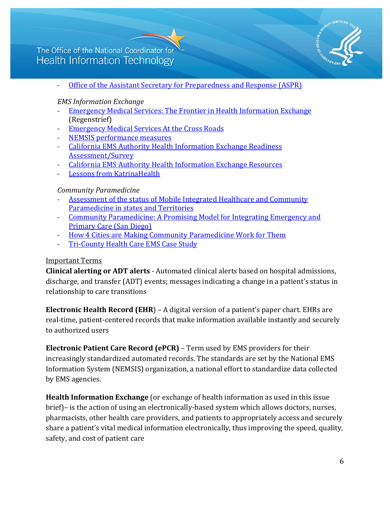

- [Office of the Assistant Secretary for Preparedness and Response \(ASPR\)](http://www.phe.gov/about/pages/default.aspx)

### *EMS Information Exchange*

- [Emergency Medical Services: The Frontier in Health Information Exchange](http://www.ncbi.nlm.nih.gov/pmc/articles/PMC3041358/) (Regenstrief)
- [Emergency Medical Services At the Cross Roads](http://www.nap.edu/read/11629/chapter/1#ii)
- [NEMSIS performance measures](http://www.nemsis.org/referenceMaterials/performanceMeasures.html)
- California EMS Authority Health Information Exchange Readiness [Assessment/Survey](http://www.emsa.ca.gov/Media/Default/PDF/EMS%20Project%20Full%20Report%20FINAL%2012-19-13%20REVISED.pdf)
- [California EMS Authority Health Information Exchange Resources](http://emsa.ca.gov/HIE)
- Lessons from KatrinaHealth

### *Community Paramedicine*

- Assessment of the status of [Mobile Integrated Healthcare and Community](https://www.nasemso.org/Projects/MobileIntegratedHealth/documents/CP-MIH-Survey-2014-2015.pdf)  [Paramedicine in states and Territories](https://www.nasemso.org/Projects/MobileIntegratedHealth/documents/CP-MIH-Survey-2014-2015.pdf)
- [Community Paramedicine: A Promising Model for Integrating Emergency and](http://www.ucdmc.ucdavis.edu/iphi/publications/reports/resources/IPHI_CommunityParamedicineReport_Final%20070913.pdf)  [Primary Care](http://www.ucdmc.ucdavis.edu/iphi/publications/reports/resources/IPHI_CommunityParamedicineReport_Final%20070913.pdf) (San Diego)
- [How 4 Cities are Making Community Paramedicine Work for Them](http://www.ems1.com/community-paramedicine/articles/1949030-How-4-cities-are-making-community-paramedicine-work-for-them/)
- [Tri-County Health Care EMS Case Study](http://www.naemt.org/docs/default-source/community-paramedicine/mih-cp-grid/tricounty-case-study-1.pdf?sfvrsn=2)

## Important Terms

**Clinical alerting or ADT alerts** - Automated clinical alerts based on hospital admissions, discharge, and transfer (ADT) events; messages indicating a change in a patient's status in relationship to care transitions

**Electronic Health Record (EHR**) – A digital version of a patient's paper chart. EHRs are real-time, patient-centered records that make information available instantly and securely to authorized users

**Electronic Patient Care Record (ePCR)** – Term used by EMS providers for their increasingly standardized automated records. The standards are set by the National EMS Information System (NEMSIS) organization, a national effort to standardize data collected by EMS agencies.

**Health Information Exchange** (or exchange of health information as used in this issue brief)– is the action of using an electronically-based system which allows doctors, nurses, pharmacists, other health care providers, and patients to appropriately access and securely share a patient's vital medical information electronically, thus improving the speed, quality, safety, and cost of patient care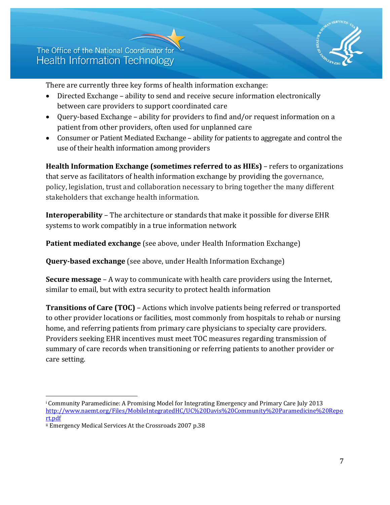

There are currently three key forms of health information exchange:

- [Directed Exchange](http://www.healthit.gov/providers-professionals/health-information-exchange/what-hie#directed_exchange)  ability to send and receive secure information electronically between care providers to support coordinated care
- [Query-based Exchange](http://www.healthit.gov/providers-professionals/health-information-exchange/what-hie#query-based_exchange)  ability for providers to find and/or request information on a patient from other providers, often used for unplanned care
- Consumer or Patient [Mediated Exchange –](http://www.healthit.gov/providers-professionals/health-information-exchange/what-hie#consumer-mediated_exchange) ability for patients to aggregate and control the use of their health information among providers

**Health Information Exchange (sometimes referred to as HIEs)** – refers to organizations that serve as facilitators of health information exchange by providing the governance, policy, legislation, trust and collaboration necessary to bring together the many different stakeholders that exchange health information.

**Interoperability** – The architecture or standards that make it possible for diverse EHR systems to work compatibly in a true information network

**Patient mediated exchange** (see above, under Health Information Exchange)

**Query-based exchange** (see above, under Health Information Exchange)

**Secure message** – A way to communicate with health care providers using the Internet, similar to email, but with extra security to protect health information

**Transitions of Care (TOC)** – Actions which involve patients being referred or transported to other provider locations or facilities, most commonly from hospitals to rehab or nursing home, and referring patients from primary care physicians to specialty care providers. Providers seeking EHR incentives must meet TOC measures regarding transmission of summary of care records when transitioning or referring patients to another provider or care setting.

i<br>I <sup>i</sup> Community Paramedicine: A Promising Model for Integrating Emergency and Primary Care July 2013 [http://www.naemt.org/Files/MobileIntegratedHC/UC%20Davis%20Community%20Paramedicine%20Repo](http://www.naemt.org/Files/MobileIntegratedHC/UC%20Davis%20Community%20Paramedicine%20Report.pdf) [rt.pdf](http://www.naemt.org/Files/MobileIntegratedHC/UC%20Davis%20Community%20Paramedicine%20Report.pdf)

ii Emergency Medical Services At the Crossroads 2007 p.38